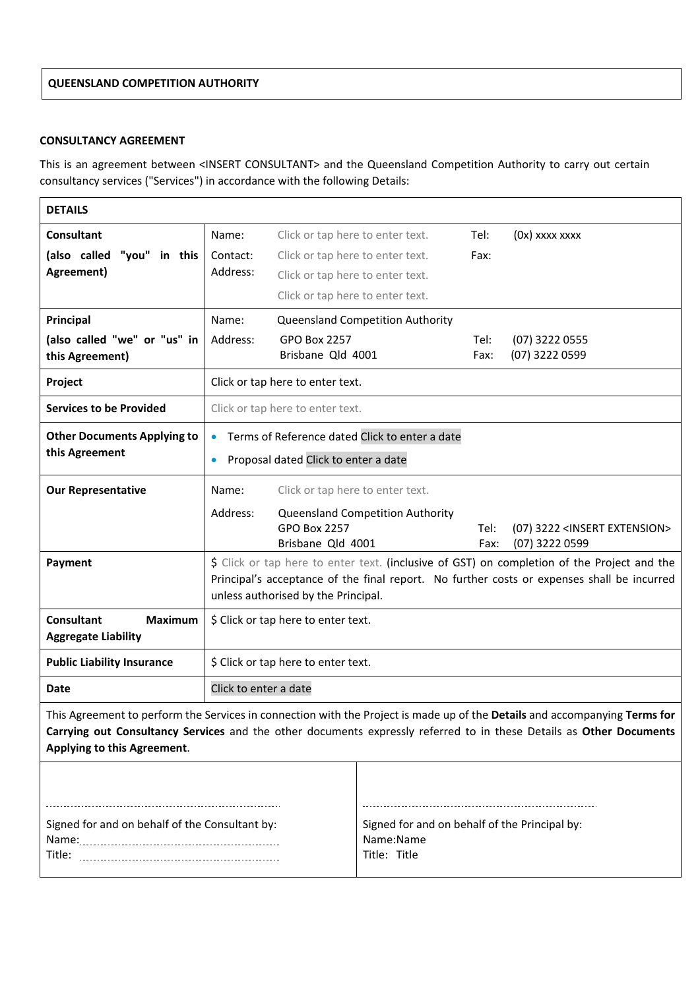# **QUEENSLAND COMPETITION AUTHORITY**

# **CONSULTANCY AGREEMENT**

This is an agreement between <INSERT CONSULTANT> and the Queensland Competition Authority to carry out certain consultancy services ("Services") in accordance with the following Details:

| <b>DETAILS</b>                                                                                                                                                                                                                                                                   |                                                                                                                                                                                                                                  |                                                                                                                  |                                                                            |              |                                                             |
|----------------------------------------------------------------------------------------------------------------------------------------------------------------------------------------------------------------------------------------------------------------------------------|----------------------------------------------------------------------------------------------------------------------------------------------------------------------------------------------------------------------------------|------------------------------------------------------------------------------------------------------------------|----------------------------------------------------------------------------|--------------|-------------------------------------------------------------|
| <b>Consultant</b><br>(also called "you" in this<br>Agreement)                                                                                                                                                                                                                    | Name:<br>Contact:<br>Address:                                                                                                                                                                                                    | Click or tap here to enter text.<br>Click or tap here to enter text.<br>Click or tap here to enter text.         |                                                                            | Tel:<br>Fax: | (0x) xxxx xxxx                                              |
| Principal<br>(also called "we" or "us" in<br>this Agreement)                                                                                                                                                                                                                     | Name:<br>Address:                                                                                                                                                                                                                | Click or tap here to enter text.<br><b>GPO Box 2257</b><br>Brisbane Qld 4001                                     | Queensland Competition Authority                                           | Tel:<br>Fax: | (07) 3222 0555<br>(07) 3222 0599                            |
| Project                                                                                                                                                                                                                                                                          | Click or tap here to enter text.                                                                                                                                                                                                 |                                                                                                                  |                                                                            |              |                                                             |
| <b>Services to be Provided</b>                                                                                                                                                                                                                                                   | Click or tap here to enter text.                                                                                                                                                                                                 |                                                                                                                  |                                                                            |              |                                                             |
| <b>Other Documents Applying to</b><br>this Agreement                                                                                                                                                                                                                             | Terms of Reference dated Click to enter a date<br>$\bullet$<br>Proposal dated Click to enter a date<br>$\bullet$                                                                                                                 |                                                                                                                  |                                                                            |              |                                                             |
| <b>Our Representative</b>                                                                                                                                                                                                                                                        | Name:<br>Address:                                                                                                                                                                                                                | Click or tap here to enter text.<br>Queensland Competition Authority<br><b>GPO Box 2257</b><br>Brisbane Qld 4001 |                                                                            |              | (07) 3222 <insert extension=""><br/>(07) 3222 0599</insert> |
| Payment                                                                                                                                                                                                                                                                          | \$ Click or tap here to enter text. (inclusive of GST) on completion of the Project and the<br>Principal's acceptance of the final report. No further costs or expenses shall be incurred<br>unless authorised by the Principal. |                                                                                                                  |                                                                            |              |                                                             |
| <b>Consultant</b><br><b>Maximum</b><br><b>Aggregate Liability</b>                                                                                                                                                                                                                | \$ Click or tap here to enter text.                                                                                                                                                                                              |                                                                                                                  |                                                                            |              |                                                             |
| <b>Public Liability Insurance</b>                                                                                                                                                                                                                                                | \$ Click or tap here to enter text.                                                                                                                                                                                              |                                                                                                                  |                                                                            |              |                                                             |
| <b>Date</b>                                                                                                                                                                                                                                                                      | Click to enter a date                                                                                                                                                                                                            |                                                                                                                  |                                                                            |              |                                                             |
| This Agreement to perform the Services in connection with the Project is made up of the Details and accompanying Terms for<br>Carrying out Consultancy Services and the other documents expressly referred to in these Details as Other Documents<br>Applying to this Agreement. |                                                                                                                                                                                                                                  |                                                                                                                  |                                                                            |              |                                                             |
|                                                                                                                                                                                                                                                                                  |                                                                                                                                                                                                                                  |                                                                                                                  |                                                                            |              |                                                             |
| Signed for and on behalf of the Consultant by:                                                                                                                                                                                                                                   |                                                                                                                                                                                                                                  |                                                                                                                  | Signed for and on behalf of the Principal by:<br>Name:Name<br>Title: Title |              |                                                             |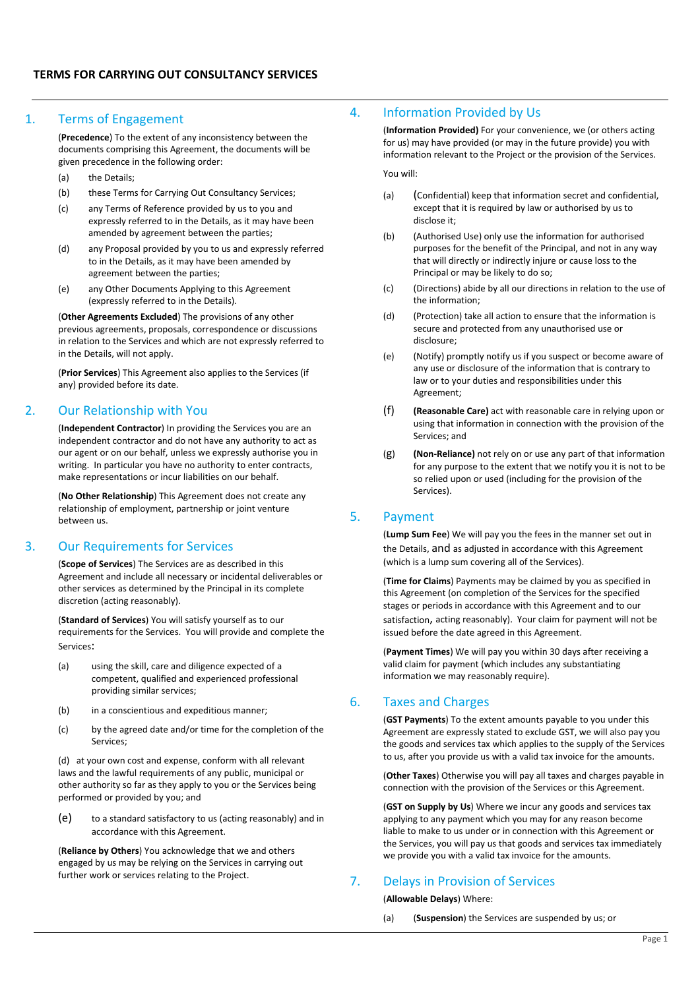### 1. Terms of Engagement

(**Precedence**) To the extent of any inconsistency between the documents comprising this Agreement, the documents will be given precedence in the following order:

- (a) the Details:
- (b) these Terms for Carrying Out Consultancy Services;
- (c) any Terms of Reference provided by us to you and expressly referred to in the Details, as it may have been amended by agreement between the parties;
- (d) any Proposal provided by you to us and expressly referred to in the Details, as it may have been amended by agreement between the parties;
- (e) any Other Documents Applying to this Agreement (expressly referred to in the Details).

(**Other Agreements Excluded**) The provisions of any other previous agreements, proposals, correspondence or discussions in relation to the Services and which are not expressly referred to in the Details, will not apply.

(**Prior Services**) This Agreement also applies to the Services (if any) provided before its date.

### 2. Our Relationship with You

(**Independent Contractor**) In providing the Services you are an independent contractor and do not have any authority to act as our agent or on our behalf, unless we expressly authorise you in writing. In particular you have no authority to enter contracts, make representations or incur liabilities on our behalf.

(**No Other Relationship**) This Agreement does not create any relationship of employment, partnership or joint venture between us.

# 3. Our Requirements for Services

(**Scope of Services**) The Services are as described in this Agreement and include all necessary or incidental deliverables or other services as determined by the Principal in its complete discretion (acting reasonably).

(**Standard of Services**) You will satisfy yourself as to our requirements for the Services. You will provide and complete the Services:

- (a) using the skill, care and diligence expected of a competent, qualified and experienced professional providing similar services;
- (b) in a conscientious and expeditious manner;
- (c) by the agreed date and/or time for the completion of the Services;

(d) at your own cost and expense, conform with all relevant laws and the lawful requirements of any public, municipal or other authority so far as they apply to you or the Services being performed or provided by you; and

(e) to a standard satisfactory to us (acting reasonably) and in accordance with this Agreement.

(**Reliance by Others**) You acknowledge that we and others engaged by us may be relying on the Services in carrying out further work or services relating to the Project.

# 4. Information Provided by Us

(**Information Provided)** For your convenience, we (or others acting for us) may have provided (or may in the future provide) you with information relevant to the Project or the provision of the Services.

You will:

- (a) (Confidential) keep that information secret and confidential, except that it is required by law or authorised by us to disclose it;
- (b) (Authorised Use) only use the information for authorised purposes for the benefit of the Principal, and not in any way that will directly or indirectly injure or cause loss to the Principal or may be likely to do so;
- (c) (Directions) abide by all our directions in relation to the use of the information;
- (d) (Protection) take all action to ensure that the information is secure and protected from any unauthorised use or disclosure;
- (e) (Notify) promptly notify us if you suspect or become aware of any use or disclosure of the information that is contrary to law or to your duties and responsibilities under this Agreement;
- (f) **(Reasonable Care)** act with reasonable care in relying upon or using that information in connection with the provision of the Services; and
- (g) **(Non‐Reliance)** not rely on or use any part of that information for any purpose to the extent that we notify you it is not to be so relied upon or used (including for the provision of the Services).

#### 5. Payment

(**Lump Sum Fee**) We will pay you the fees in the manner set out in the Details, and as adjusted in accordance with this Agreement (which is a lump sum covering all of the Services).

(**Time for Claims**) Payments may be claimed by you as specified in this Agreement (on completion of the Services for the specified stages or periods in accordance with this Agreement and to our satisfaction, acting reasonably). Your claim for payment will not be issued before the date agreed in this Agreement.

(**Payment Times**) We will pay you within 30 days after receiving a valid claim for payment (which includes any substantiating information we may reasonably require).

### 6. Taxes and Charges

(**GST Payments**) To the extent amounts payable to you under this Agreement are expressly stated to exclude GST, we will also pay you the goods and services tax which applies to the supply of the Services to us, after you provide us with a valid tax invoice for the amounts.

(**Other Taxes**) Otherwise you will pay all taxes and charges payable in connection with the provision of the Services or this Agreement.

(**GST on Supply by Us**) Where we incur any goods and services tax applying to any payment which you may for any reason become liable to make to us under or in connection with this Agreement or the Services, you will pay us that goods and services tax immediately we provide you with a valid tax invoice for the amounts.

# 7. Delays in Provision of Services

#### (**Allowable Delays**) Where:

(a) (**Suspension**) the Services are suspended by us; or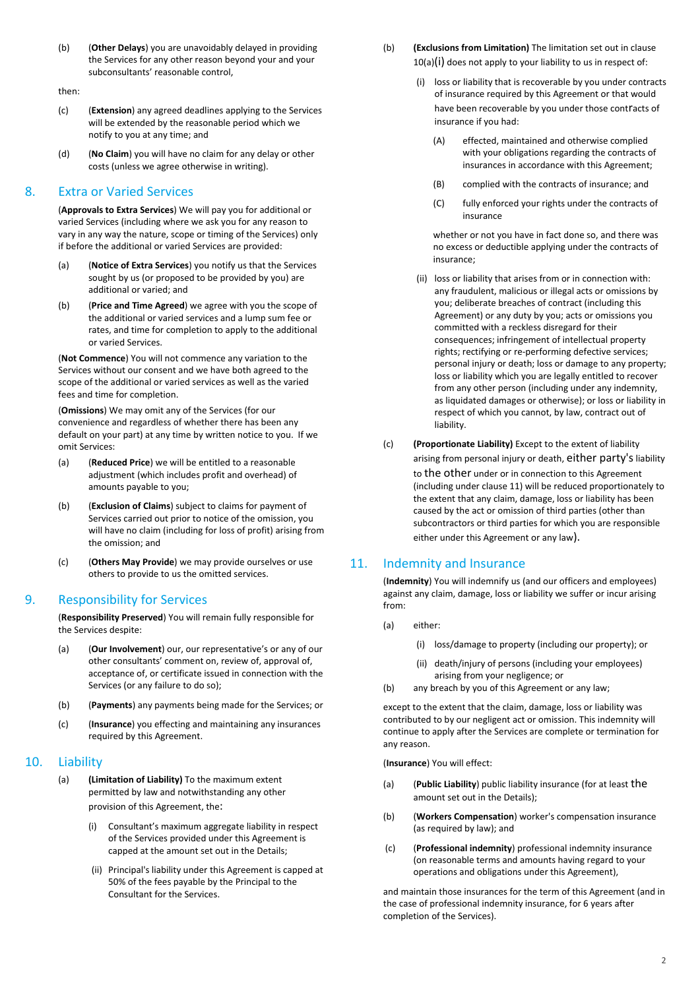(b) (**Other Delays**) you are unavoidably delayed in providing the Services for any other reason beyond your and your subconsultants' reasonable control,

#### then:

- (c) (**Extension**) any agreed deadlines applying to the Services will be extended by the reasonable period which we notify to you at any time; and
- (d) (**No Claim**) you will have no claim for any delay or other costs (unless we agree otherwise in writing).

### 8. Extra or Varied Services

(**Approvals to Extra Services**) We will pay you for additional or varied Services (including where we ask you for any reason to vary in any way the nature, scope or timing of the Services) only if before the additional or varied Services are provided:

- (a) (**Notice of Extra Services**) you notify us that the Services sought by us (or proposed to be provided by you) are additional or varied; and
- (b) (**Price and Time Agreed**) we agree with you the scope of the additional or varied services and a lump sum fee or rates, and time for completion to apply to the additional or varied Services.

(**Not Commence**) You will not commence any variation to the Services without our consent and we have both agreed to the scope of the additional or varied services as well as the varied fees and time for completion.

(**Omissions**) We may omit any of the Services (for our convenience and regardless of whether there has been any default on your part) at any time by written notice to you. If we omit Services:

- (a) (**Reduced Price**) we will be entitled to a reasonable adjustment (which includes profit and overhead) of amounts payable to you;
- (b) (**Exclusion of Claims**) subject to claims for payment of Services carried out prior to notice of the omission, you will have no claim (including for loss of profit) arising from the omission; and
- (c) (**Others May Provide**) we may provide ourselves or use others to provide to us the omitted services.

#### 9. Responsibility for Services

(**Responsibility Preserved**) You will remain fully responsible for the Services despite:

- (a) (**Our Involvement**) our, our representative's or any of our other consultants' comment on, review of, approval of, acceptance of, or certificate issued in connection with the Services (or any failure to do so);
- (b) (**Payments**) any payments being made for the Services; or
- (c) (**Insurance**) you effecting and maintaining any insurances required by this Agreement.

#### 10. Liability

- (a) **(Limitation of Liability)** To the maximum extent permitted by law and notwithstanding any other provision of this Agreement, the:
	- (i) Consultant's maximum aggregate liability in respect of the Services provided under this Agreement is capped at the amount set out in the Details;
	- (ii) Principal's liability under this Agreement is capped at 50% of the fees payable by the Principal to the Consultant for the Services.
- (b) **(Exclusions from Limitation)** The limitation set out in clause 10(a)(i) does not apply to your liability to us in respect of:
	- (i) loss or liability that is recoverable by you under contracts of insurance required by this Agreement or that would have been recoverable by you under those contracts of insurance if you had:
		- (A) effected, maintained and otherwise complied with your obligations regarding the contracts of insurances in accordance with this Agreement;
		- (B) complied with the contracts of insurance; and
		- (C) fully enforced your rights under the contracts of insurance

whether or not you have in fact done so, and there was no excess or deductible applying under the contracts of insurance;

- (ii) loss or liability that arises from or in connection with: any fraudulent, malicious or illegal acts or omissions by you; deliberate breaches of contract (including this Agreement) or any duty by you; acts or omissions you committed with a reckless disregard for their consequences; infringement of intellectual property rights; rectifying or re‐performing defective services; personal injury or death; loss or damage to any property; loss or liability which you are legally entitled to recover from any other person (including under any indemnity, as liquidated damages or otherwise); or loss or liability in respect of which you cannot, by law, contract out of liability.
- (c) **(Proportionate Liability)** Except to the extent of liability arising from personal injury or death, either party's liability to the other under or in connection to this Agreement (including under clause 11) will be reduced proportionately to the extent that any claim, damage, loss or liability has been caused by the act or omission of third parties (other than subcontractors or third parties for which you are responsible either under this Agreement or any law).

#### 11. Indemnity and Insurance

(**Indemnity**) You will indemnify us (and our officers and employees) against any claim, damage, loss or liability we suffer or incur arising from:

- (a) either:
	- (i) loss/damage to property (including our property); or
	- (ii) death/injury of persons (including your employees) arising from your negligence; or
- (b) any breach by you of this Agreement or any law;

except to the extent that the claim, damage, loss or liability was contributed to by our negligent act or omission. This indemnity will continue to apply after the Services are complete or termination for any reason.

(**Insurance**) You will effect:

- (a) (**Public Liability**) public liability insurance (for at least the amount set out in the Details);
- (b) (**Workers Compensation**) worker's compensation insurance (as required by law); and
- (c) (**Professional indemnity**) professional indemnity insurance (on reasonable terms and amounts having regard to your operations and obligations under this Agreement),

and maintain those insurances for the term of this Agreement (and in the case of professional indemnity insurance, for 6 years after completion of the Services).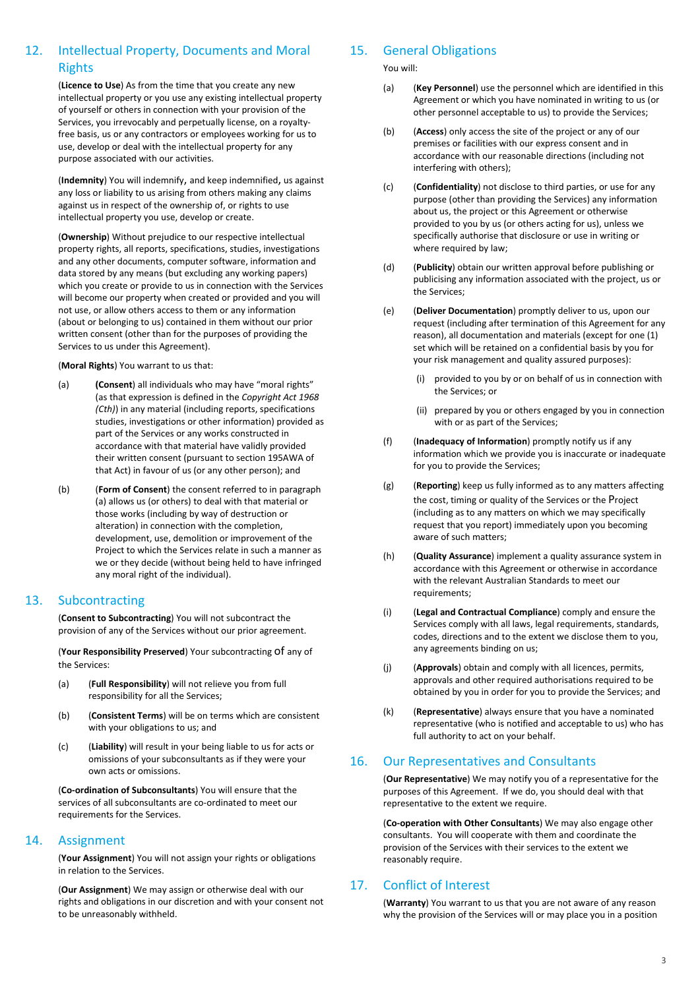# 12. Intellectual Property, Documents and Moral Rights

(**Licence to Use**) As from the time that you create any new intellectual property or you use any existing intellectual property of yourself or others in connection with your provision of the Services, you irrevocably and perpetually license, on a royalty‐ free basis, us or any contractors or employees working for us to use, develop or deal with the intellectual property for any purpose associated with our activities.

(**Indemnity**) You will indemnify, and keep indemnified, us against any loss or liability to us arising from others making any claims against us in respect of the ownership of, or rights to use intellectual property you use, develop or create.

(**Ownership**) Without prejudice to our respective intellectual property rights, all reports, specifications, studies, investigations and any other documents, computer software, information and data stored by any means (but excluding any working papers) which you create or provide to us in connection with the Services will become our property when created or provided and you will not use, or allow others access to them or any information (about or belonging to us) contained in them without our prior written consent (other than for the purposes of providing the Services to us under this Agreement).

(**Moral Rights**) You warrant to us that:

- (a) **(Consent**) all individuals who may have "moral rights" (as that expression is defined in the *Copyright Act 1968 (Cth)*) in any material (including reports, specifications studies, investigations or other information) provided as part of the Services or any works constructed in accordance with that material have validly provided their written consent (pursuant to section 195AWA of that Act) in favour of us (or any other person); and
- (b) (**Form of Consent**) the consent referred to in paragraph (a) allows us (or others) to deal with that material or those works (including by way of destruction or alteration) in connection with the completion, development, use, demolition or improvement of the Project to which the Services relate in such a manner as we or they decide (without being held to have infringed any moral right of the individual).

### 13. Subcontracting

(**Consent to Subcontracting**) You will not subcontract the provision of any of the Services without our prior agreement.

(**Your Responsibility Preserved**) Your subcontracting of any of the Services:

- (a) (**Full Responsibility**) will not relieve you from full responsibility for all the Services;
- (b) (**Consistent Terms**) will be on terms which are consistent with your obligations to us; and
- (c) (**Liability**) will result in your being liable to us for acts or omissions of your subconsultants as if they were your own acts or omissions.

(**Co‐ordination of Subconsultants**) You will ensure that the services of all subconsultants are co-ordinated to meet our requirements for the Services.

# 14. Assignment

(**Your Assignment**) You will not assign your rights or obligations in relation to the Services.

(**Our Assignment**) We may assign or otherwise deal with our rights and obligations in our discretion and with your consent not to be unreasonably withheld.

# 15. General Obligations

You will:

- (a) (**Key Personnel**) use the personnel which are identified in this Agreement or which you have nominated in writing to us (or other personnel acceptable to us) to provide the Services;
- (b) (**Access**) only access the site of the project or any of our premises or facilities with our express consent and in accordance with our reasonable directions (including not interfering with others);
- (c) (**Confidentiality**) not disclose to third parties, or use for any purpose (other than providing the Services) any information about us, the project or this Agreement or otherwise provided to you by us (or others acting for us), unless we specifically authorise that disclosure or use in writing or where required by law;
- (d) (**Publicity**) obtain our written approval before publishing or publicising any information associated with the project, us or the Services;
- (e) (**Deliver Documentation**) promptly deliver to us, upon our request (including after termination of this Agreement for any reason), all documentation and materials (except for one (1) set which will be retained on a confidential basis by you for your risk management and quality assured purposes):
	- (i) provided to you by or on behalf of us in connection with the Services; or
	- (ii) prepared by you or others engaged by you in connection with or as part of the Services;
- (f) (**Inadequacy of Information**) promptly notify us if any information which we provide you is inaccurate or inadequate for you to provide the Services;
- (g) (**Reporting**) keep us fully informed as to any matters affecting the cost, timing or quality of the Services or the Project (including as to any matters on which we may specifically request that you report) immediately upon you becoming aware of such matters;
- (h) (**Quality Assurance**) implement a quality assurance system in accordance with this Agreement or otherwise in accordance with the relevant Australian Standards to meet our requirements;
- (i) (**Legal and Contractual Compliance**) comply and ensure the Services comply with all laws, legal requirements, standards, codes, directions and to the extent we disclose them to you, any agreements binding on us;
- (j) (**Approvals**) obtain and comply with all licences, permits, approvals and other required authorisations required to be obtained by you in order for you to provide the Services; and
- (k) (**Representative**) always ensure that you have a nominated representative (who is notified and acceptable to us) who has full authority to act on your behalf.

### 16. Our Representatives and Consultants

(**Our Representative**) We may notify you of a representative for the purposes of this Agreement. If we do, you should deal with that representative to the extent we require.

(**Co‐operation with Other Consultants**) We may also engage other consultants. You will cooperate with them and coordinate the provision of the Services with their services to the extent we reasonably require.

# 17. Conflict of Interest

(**Warranty**) You warrant to us that you are not aware of any reason why the provision of the Services will or may place you in a position